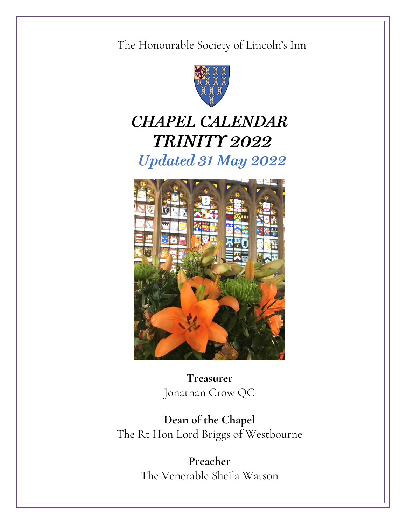#### The Honourable Society of Lincoln's Inn



# **CHAPEL CALENDAR TRINITY 2022 Updated 31 May 2022**



**Treasurer** Jonathan Crow QC

**Dean of the Chapel** The Rt Hon Lord Briggs of Westbourne

> **Preacher** The Venerable Sheila Watson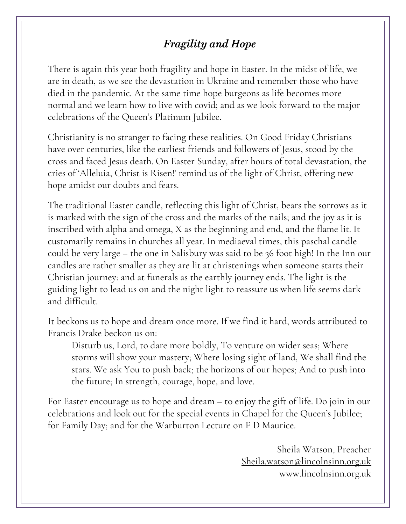## **Fragility and Hope**

There is again this year both fragility and hope in Easter. In the midst of life, we are in death, as we see the devastation in Ukraine and remember those who have died in the pandemic. At the same time hope burgeons as life becomes more normal and we learn how to live with covid; and as we look forward to the major celebrations of the Queen's Platinum Jubilee.

Christianity is no stranger to facing these realities. On Good Friday Christians have over centuries, like the earliest friends and followers of Jesus, stood by the cross and faced Jesus death. On Easter Sunday, after hours of total devastation, the cries of 'Alleluia, Christ is Risen!' remind us of the light of Christ, offering new hope amidst our doubts and fears.

The traditional Easter candle, reflecting this light of Christ, bears the sorrows as it is marked with the sign of the cross and the marks of the nails; and the joy as it is inscribed with alpha and omega, X as the beginning and end, and the flame lit. It customarily remains in churches all year. In mediaeval times, this paschal candle could be very large – the one in Salisbury was said to be 36 foot high! In the Inn our candles are rather smaller as they are lit at christenings when someone starts their Christian journey: and at funerals as the earthly journey ends. The light is the guiding light to lead us on and the night light to reassure us when life seems dark and difficult.

It beckons us to hope and dream once more. If we find it hard, words attributed to Francis Drake beckon us on:

Disturb us, Lord, to dare more boldly, To venture on wider seas; Where storms will show your mastery; Where losing sight of land, We shall find the stars. We ask You to push back; the horizons of our hopes; And to push into the future; In strength, courage, hope, and love.

For Easter encourage us to hope and dream – to enjoy the gift of life. Do join in our celebrations and look out for the special events in Chapel for the Queen's Jubilee; for Family Day; and for the Warburton Lecture on F D Maurice.

> Sheila Watson, Preacher Sheila.watson@lincolnsinn.org.uk www.lincolnsinn.org.uk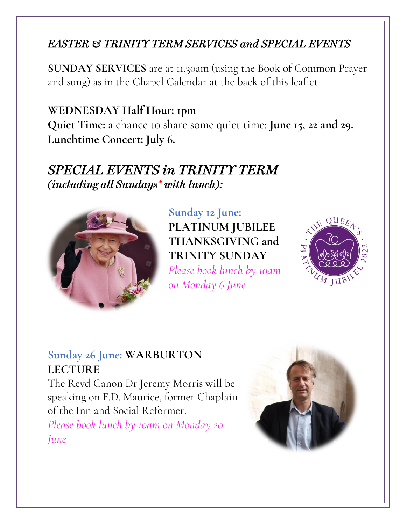#### **EASTER & TRINITY TERM SERVICES and SPECIAL EVENTS**

**SUNDAY SERVICES** are at 11.30am (using the Book of Common Prayer and sung) as in the Chapel Calendar at the back of this leaflet

#### **WEDNESDAY Half Hour: 1pm**

**Quiet Time:** a chance to share some quiet time: **June 15, 22 and 29. Lunchtime Concert: July 6.**

## **SPECIAL EVENTS in TRINITY TERM** (including all Sundays\* with lunch):



**Sunday 12 June: PLATINUM JUBILEE THANKSGIVING and TRINITY SUNDAY** *Please book lunch by 10am on Monday 6 June*



#### **Sunday 26 June: WARBURTON LECTURE**

The Revd Canon Dr Jeremy Morris will be speaking on F.D. Maurice, former Chaplain of the Inn and Social Reformer. *Please book lunch by 10am on Monday 20 June*

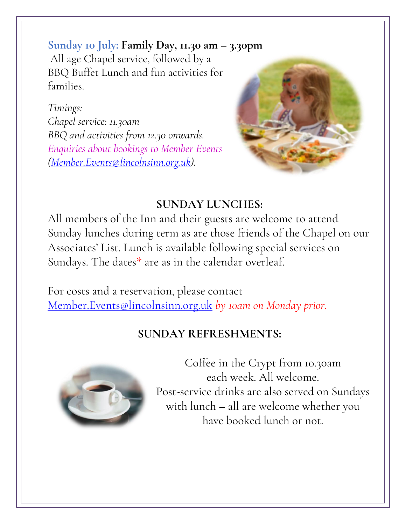#### **Sunday 10 July: Family Day, 11.30 am – 3.30pm**

All age Chapel service, followed by a BBQ Buffet Lunch and fun activities for families.

*Timings: Chapel service: 11.30am BBQ and activities from 12.30 onwards. Enquiries about bookings to Member Events [\(Member.Events@lincolnsinn.org.uk\)](mailto:Member.Events@lincolnsinn.org.uk).*



## **SUNDAY LUNCHES:**

All members of the Inn and their guests are welcome to attend Sunday lunches during term as are those friends of the Chapel on our Associates' List. Lunch is available following special services on Sundays. The dates\* are as in the calendar overleaf.

For costs and a reservation, please contact [Member.Events@lincolnsinn.org.uk](mailto:Member.Events@lincolnsinn.org.uk) *by 10am on Monday prior.*

## **SUNDAY REFRESHMENTS:**



Coffee in the Crypt from 10.30am each week. All welcome. Post-service drinks are also served on Sundays with lunch – all are welcome whether you have booked lunch or not.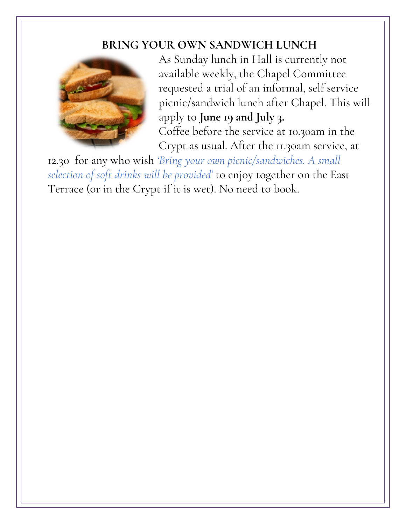#### **BRING YOUR OWN SANDWICH LUNCH**



As Sunday lunch in Hall is currently not available weekly, the Chapel Committee requested a trial of an informal, self service picnic/sandwich lunch after Chapel. This will apply to **June 19 and July 3.** Coffee before the service at 10.30am in the Crypt as usual. After the 11.30am service, at

12.30 for any who wish *'Bring your own picnic/sandwiches. A small selection of soft drinks will be provided'* to enjoy together on the East Terrace (or in the Crypt if it is wet). No need to book.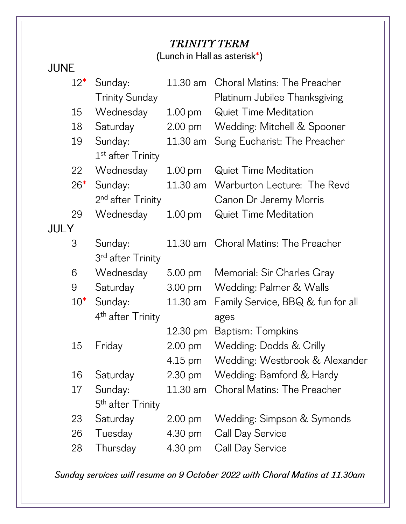#### **TRINITY TERM**  $\ln$  unch in Hall as asterisk<sup>\*</sup>)

| JUNE |        |                               |                    | $\mu$ and $\mu$ is the main as as to is $\mu$ |
|------|--------|-------------------------------|--------------------|-----------------------------------------------|
|      | $12*$  | Sunday:                       | 11.30 am           | <b>Choral Matins: The Preacher</b>            |
|      |        | <b>Trinity Sunday</b>         |                    | Platinum Jubilee Thanksgiving                 |
|      | 15     | Wednesday                     | $1.00 \text{ pm}$  | <b>Quiet Time Meditation</b>                  |
|      | 18     | Saturday                      | $2.00 \text{ pm}$  | Wedding: Mitchell & Spooner                   |
|      | 19     | Sunday:                       | 11.30 am           | Sung Eucharist: The Preacher                  |
|      |        | 1 <sup>st</sup> after Trinity |                    |                                               |
|      | 22     | Wednesday                     | $1.00 \text{ pm}$  | <b>Quiet Time Meditation</b>                  |
|      | $26*$  | Sunday:                       | 11.30 am           | Warburton Lecture: The Revd                   |
|      |        | 2 <sup>nd</sup> after Trinity |                    | Canon Dr Jeremy Morris                        |
|      | 29     | Wednesday                     | 1.00 <sub>pm</sub> | <b>Quiet Time Meditation</b>                  |
| JULY |        |                               |                    |                                               |
|      | 3      | Sunday:                       | 11.30 am           | <b>Choral Matins: The Preacher</b>            |
|      |        | 3 <sup>rd</sup> after Trinity |                    |                                               |
|      | 6      | Wednesday                     | $5.00 \text{ pm}$  | Memorial: Sir Charles Gray                    |
|      | 9      | Saturday                      | $3.00 \text{ pm}$  | Wedding: Palmer & Walls                       |
|      | $10^*$ | Sunday:                       | 11.30 am           | Family Service, BBQ & fun for all             |
|      |        | 4 <sup>th</sup> after Trinity |                    | ages                                          |
|      |        |                               | 12.30 pm           | Baptism: Tompkins                             |
|      | 15     | Friday                        | 2.00 pm            | Wedding: Dodds & Crilly                       |
|      |        |                               | 4.15 pm            | Wedding: Westbrook & Alexander                |
|      | 16     | Saturday                      | 2.30 pm            | Wedding: Bamford & Hardy                      |
|      | 17     | Sunday:                       | 11.30 am           | <b>Choral Matins: The Preacher</b>            |
|      |        | 5 <sup>th</sup> after Trinity |                    |                                               |
|      | 23     | Saturday                      | $2.00$ pm          | Wedding: Simpson & Symonds                    |
|      | 26     | Tuesday                       | 4.30 pm            | Call Day Service                              |
|      | 28     | Thursday                      | 4.30 pm            | Call Day Service                              |
|      |        |                               |                    |                                               |

Sunday services will resume on 9 October 2022 with Choral Matins at 11.30am